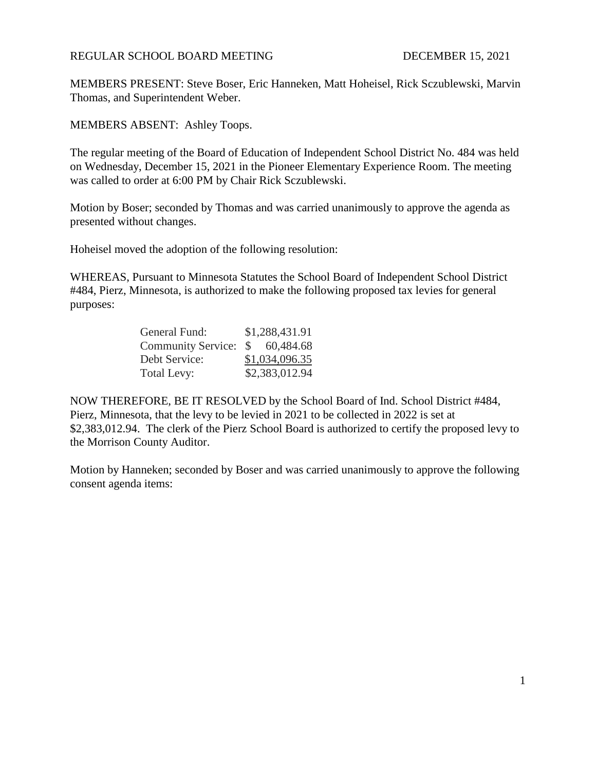## REGULAR SCHOOL BOARD MEETING DECEMBER 15, 2021

MEMBERS PRESENT: Steve Boser, Eric Hanneken, Matt Hoheisel, Rick Sczublewski, Marvin Thomas, and Superintendent Weber.

MEMBERS ABSENT: Ashley Toops.

The regular meeting of the Board of Education of Independent School District No. 484 was held on Wednesday, December 15, 2021 in the Pioneer Elementary Experience Room. The meeting was called to order at 6:00 PM by Chair Rick Sczublewski.

Motion by Boser; seconded by Thomas and was carried unanimously to approve the agenda as presented without changes.

Hoheisel moved the adoption of the following resolution:

WHEREAS, Pursuant to Minnesota Statutes the School Board of Independent School District #484, Pierz, Minnesota, is authorized to make the following proposed tax levies for general purposes:

| General Fund:         | \$1,288,431.91 |
|-----------------------|----------------|
| Community Service: \$ | 60,484.68      |
| Debt Service:         | \$1,034,096.35 |
| Total Levy:           | \$2,383,012.94 |

NOW THEREFORE, BE IT RESOLVED by the School Board of Ind. School District #484, Pierz, Minnesota, that the levy to be levied in 2021 to be collected in 2022 is set at \$2,383,012.94. The clerk of the Pierz School Board is authorized to certify the proposed levy to the Morrison County Auditor.

Motion by Hanneken; seconded by Boser and was carried unanimously to approve the following consent agenda items: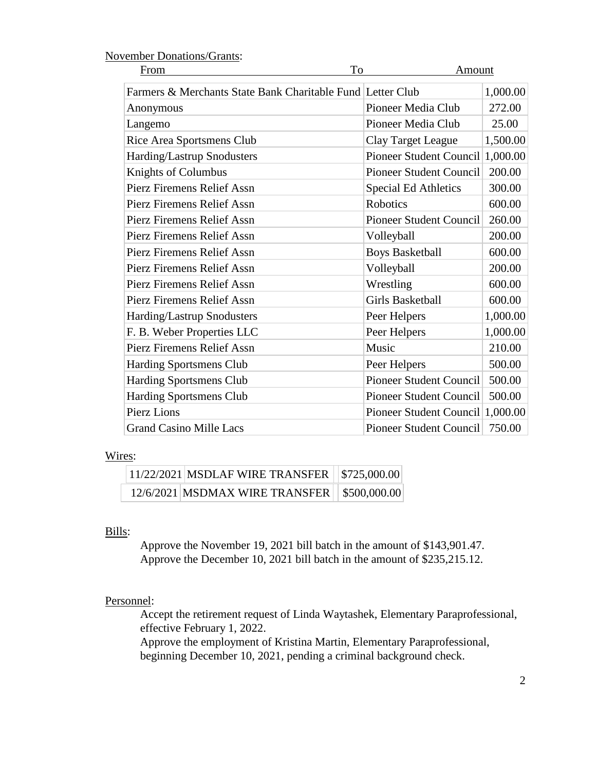| To<br>From                                                 | Amount                           |          |
|------------------------------------------------------------|----------------------------------|----------|
| Farmers & Merchants State Bank Charitable Fund Letter Club |                                  | 1,000.00 |
| Anonymous                                                  | Pioneer Media Club               | 272.00   |
| Langemo                                                    | Pioneer Media Club               | 25.00    |
| Rice Area Sportsmens Club                                  | <b>Clay Target League</b>        | 1,500.00 |
| Harding/Lastrup Snodusters                                 | Pioneer Student Council          | 1,000.00 |
| Knights of Columbus                                        | <b>Pioneer Student Council</b>   | 200.00   |
| <b>Pierz Firemens Relief Assn</b>                          | <b>Special Ed Athletics</b>      | 300.00   |
| <b>Pierz Firemens Relief Assn</b>                          | <b>Robotics</b>                  | 600.00   |
| Pierz Firemens Relief Assn                                 | <b>Pioneer Student Council</b>   | 260.00   |
| Pierz Firemens Relief Assn                                 | Volleyball                       | 200.00   |
| <b>Pierz Firemens Relief Assn</b>                          | <b>Boys Basketball</b>           | 600.00   |
| <b>Pierz Firemens Relief Assn</b>                          | Volleyball                       | 200.00   |
| <b>Pierz Firemens Relief Assn</b>                          | Wrestling                        | 600.00   |
| Pierz Firemens Relief Assn                                 | Girls Basketball                 | 600.00   |
| Harding/Lastrup Snodusters                                 | Peer Helpers                     | 1,000.00 |
| F. B. Weber Properties LLC                                 | Peer Helpers                     | 1,000.00 |
| <b>Pierz Firemens Relief Assn</b>                          | Music                            | 210.00   |
| <b>Harding Sportsmens Club</b>                             | Peer Helpers                     | 500.00   |
| <b>Harding Sportsmens Club</b>                             | Pioneer Student Council          | 500.00   |
| <b>Harding Sportsmens Club</b>                             | <b>Pioneer Student Council</b>   | 500.00   |
| <b>Pierz Lions</b>                                         | Pioneer Student Council 1,000.00 |          |
| <b>Grand Casino Mille Lacs</b>                             | <b>Pioneer Student Council</b>   | 750.00   |

## November Donations/Grants:

#### Wires:

| 11/22/2021   MSDLAF WIRE TRANSFER   \$725,000.00 |  |
|--------------------------------------------------|--|
| 12/6/2021 MSDMAX WIRE TRANSFER   \$500,000.00    |  |

# Bills:

Approve the November 19, 2021 bill batch in the amount of \$143,901.47. Approve the December 10, 2021 bill batch in the amount of \$235,215.12.

### Personnel:

Accept the retirement request of Linda Waytashek, Elementary Paraprofessional, effective February 1, 2022.

Approve the employment of Kristina Martin, Elementary Paraprofessional, beginning December 10, 2021, pending a criminal background check.